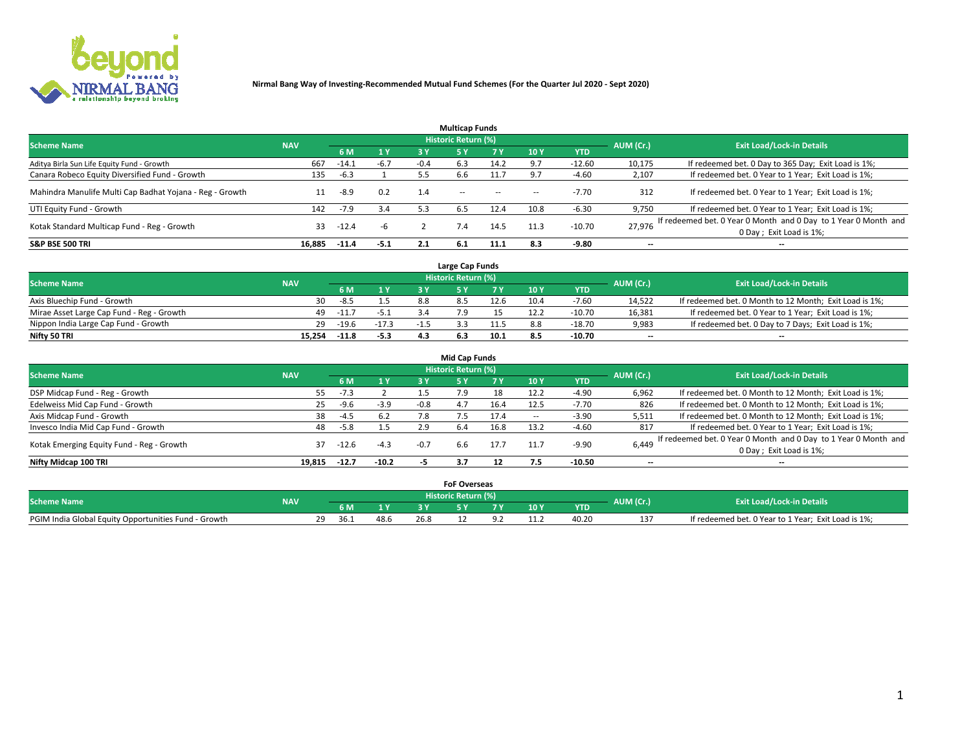

|                                                          |            |         |        |        | <b>Multicap Funds</b> |           |      |            |                          |                                                                                             |
|----------------------------------------------------------|------------|---------|--------|--------|-----------------------|-----------|------|------------|--------------------------|---------------------------------------------------------------------------------------------|
| <b>Scheme Name</b>                                       | <b>NAV</b> |         |        |        | Historic Return (%)   |           |      |            | AUM (Cr.)                | <b>Exit Load/Lock-in Details</b>                                                            |
|                                                          |            | 6 M     | 1 Y    | 3 Y    |                       | <b>7Y</b> | 10Y  | <b>YTD</b> |                          |                                                                                             |
| Aditya Birla Sun Life Equity Fund - Growth               | 667        | -14.1   | $-6.7$ | $-0.4$ | 6.3                   | 14.2      | 9.7  | $-12.60$   | 10,175                   | If redeemed bet. 0 Day to 365 Day; Exit Load is 1%;                                         |
| Canara Robeco Equity Diversified Fund - Growth           | 135        | $-6.3$  |        |        | 6.6                   | 11.7      | 9.7  | $-4.60$    | 2,107                    | If redeemed bet. 0 Year to 1 Year; Exit Load is 1%;                                         |
| Mahindra Manulife Multi Cap Badhat Yojana - Reg - Growth |            | -8.9    | 0.2    | 1.4    | $\sim$ $-$            | $\sim$    | --   | $-7.70$    | 312                      | If redeemed bet. 0 Year to 1 Year; Exit Load is 1%;                                         |
| UTI Equity Fund - Growth                                 | 142        | $-7.9$  | 3.4    | 5.3    | 6.5                   | 12.4      | 10.8 | $-6.30$    | 9,750                    | If redeemed bet. 0 Year to 1 Year; Exit Load is 1%;                                         |
| Kotak Standard Multicap Fund - Reg - Growth              | 33         | $-12.4$ | -h     |        | 7.4                   | 14.5      | 11.3 | $-10.70$   | 27.976                   | If redeemed bet. 0 Year 0 Month and 0 Day to 1 Year 0 Month and<br>0 Day ; Exit Load is 1%; |
| <b>S&amp;P BSE 500 TRI</b>                               | 16.885     | $-11.4$ | $-5.1$ |        | 6.1                   | 11.1      | 8.3  | $-9.80$    | $\overline{\phantom{a}}$ | $- -$                                                                                       |

|                                           |            |         |         |      | Large Cap Funds     |      |      |            |                          |                                                        |
|-------------------------------------------|------------|---------|---------|------|---------------------|------|------|------------|--------------------------|--------------------------------------------------------|
| <b>Scheme Name</b>                        | <b>NAV</b> |         |         |      | Historic Return (%) |      |      |            | AUM (Cr.)                | <b>Exit Load/Lock-in Details</b>                       |
|                                           |            |         | 1 Y     |      |                     |      | 10 Y | <b>YTD</b> |                          |                                                        |
| Axis Bluechip Fund - Growth               | 30         | $-8.5$  |         | 88   |                     | 12.6 | 10.4 | $-7.60$    | 14,522                   | If redeemed bet. 0 Month to 12 Month; Exit Load is 1%; |
| Mirae Asset Large Cap Fund - Reg - Growth | 49         | $-11.7$ | $-5.1$  |      |                     |      |      | $-10.70$   | 16,381                   | If redeemed bet. 0 Year to 1 Year; Exit Load is 1%;    |
| Nippon India Large Cap Fund - Growth      | 29         | $-19.6$ | $-17.3$ | - 11 |                     |      |      | $-18.70$   | 9,983                    | If redeemed bet. 0 Day to 7 Days; Exit Load is 1%;     |
| Nifty 50 TRI                              | 15.254     | $-11.8$ | $-5.3$  | 4.3  |                     | 10.1 |      | $-10.70$   | $\overline{\phantom{a}}$ | $- -$                                                  |

|                                           |            |         |         |        | <b>Mid Cap Funds</b> |      |        |            |                          |                                                                 |
|-------------------------------------------|------------|---------|---------|--------|----------------------|------|--------|------------|--------------------------|-----------------------------------------------------------------|
| <b>Scheme Name</b>                        | <b>NAV</b> |         |         |        | Historic Return (%)  |      |        |            | AUM (Cr.)                | <b>Exit Load/Lock-in Details</b>                                |
|                                           |            | 6 M     | 1 Y     | 3 Y    |                      |      | 10Y    | <b>YTD</b> |                          |                                                                 |
| DSP Midcap Fund - Reg - Growth            | 55         | $-7.3$  |         |        | 7.9                  | 18   | 12.2   | -4.90      | 6,962                    | If redeemed bet. 0 Month to 12 Month; Exit Load is 1%;          |
| Edelweiss Mid Cap Fund - Growth           | 25         | -9.6    | $-3.9$  | $-0.8$ | 4.7                  | 16.4 | 12.5   | $-7.70$    | 826                      | If redeemed bet. 0 Month to 12 Month; Exit Load is 1%;          |
| Axis Midcap Fund - Growth                 | 38         | $-4.5$  | 6.2     | 7.8    |                      | 17.4 | $\sim$ | $-3.90$    | 5,511                    | If redeemed bet. 0 Month to 12 Month; Exit Load is 1%;          |
| Invesco India Mid Cap Fund - Growth       | 48         | $-5.8$  | 1.5     | 2.9    | 6.4                  | 16.8 | 13.2   | $-4.60$    | 817                      | If redeemed bet. 0 Year to 1 Year; Exit Load is 1%;             |
| Kotak Emerging Equity Fund - Reg - Growth | 37         | -12.6   | $-4.3$  | $-0.7$ | 6.6                  | 17.7 |        | $-9.90$    | 6,449                    | If redeemed bet. 0 Year 0 Month and 0 Day to 1 Year 0 Month and |
|                                           |            |         |         |        |                      |      |        |            |                          | 0 Day; Exit Load is 1%;                                         |
| Nifty Midcap 100 TRI                      | 19.815     | $-12.7$ | $-10.2$ | -7     |                      |      |        | $-10.50$   | $\overline{\phantom{a}}$ | $- -$                                                           |

|                                                      |            |      |              |      |                       | <b>FoF Overseas</b> |   |      |            |           |                                                     |
|------------------------------------------------------|------------|------|--------------|------|-----------------------|---------------------|---|------|------------|-----------|-----------------------------------------------------|
| <b>Scheme Name</b>                                   | <b>NAV</b> |      |              |      | Historic Return (%) ' |                     |   |      |            | AUM (Cr.) | <b>Exit Load/Lock-in Details</b>                    |
|                                                      |            |      | $\mathbf{v}$ |      |                       |                     | - | 10 Y | <b>YTD</b> |           |                                                     |
| PGIM India Global Equity Opportunities Fund - Growth |            | 36.1 | 48.6         | 26.8 |                       |                     |   | 11.2 | 40.20      | 13.<br>∸  | If redeemed bet. 0 Year to 1 Year; Exit Load is 1%; |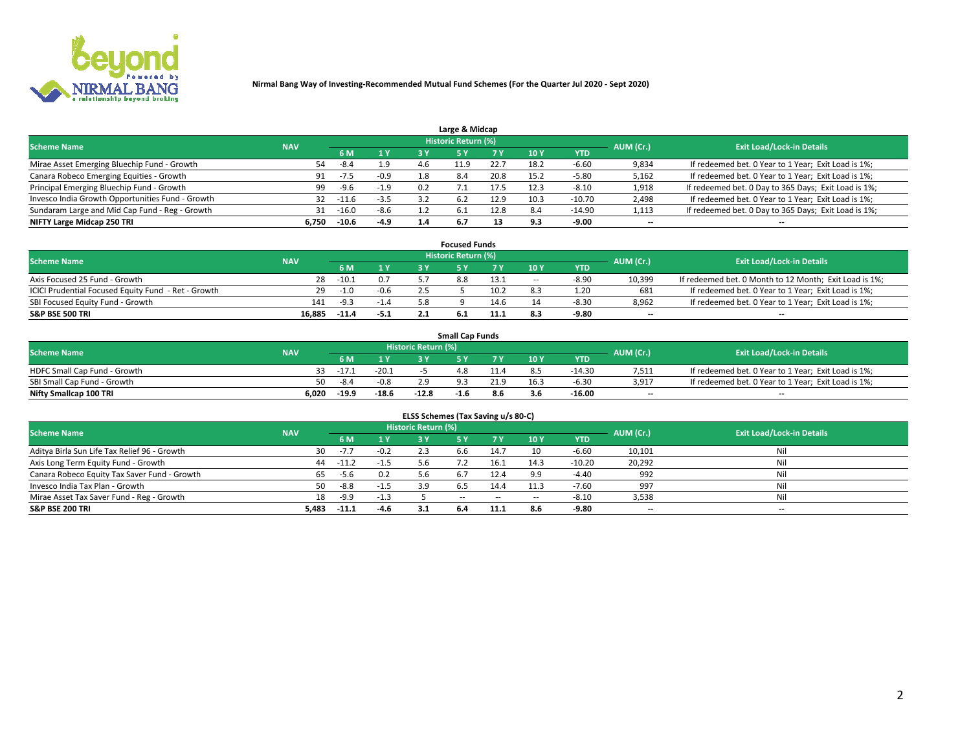

| Large & Midcap                                   |            |         |        |     |                     |      |      |            |                          |                                                      |  |  |  |  |
|--------------------------------------------------|------------|---------|--------|-----|---------------------|------|------|------------|--------------------------|------------------------------------------------------|--|--|--|--|
| <b>Scheme Name</b>                               | <b>NAV</b> |         |        |     | Historic Return (%) |      |      |            | AUM (Cr.)                | <b>Exit Load/Lock-in Details</b>                     |  |  |  |  |
|                                                  |            | 6 M     | 1 Y    | 3 Y |                     | 7 V  | 10Y  | <b>YTD</b> |                          |                                                      |  |  |  |  |
| Mirae Asset Emerging Bluechip Fund - Growth      | 54         | -8.4    | 1.9    | 4.6 | -1.9                | 22.7 | 18.: | $-6.60$    | 9,834                    | If redeemed bet. 0 Year to 1 Year; Exit Load is 1%;  |  |  |  |  |
| Canara Robeco Emerging Equities - Growth         | 91         | $-7.5$  | $-0.9$ | 1.8 | 8.4                 | 20.8 | 15.2 | $-5.80$    | 5,162                    | If redeemed bet. 0 Year to 1 Year; Exit Load is 1%;  |  |  |  |  |
| Principal Emerging Bluechip Fund - Growth        | 99         | -9.6    | $-1.9$ | 0.2 |                     | 17.5 | 12.3 | $-8.10$    | 1,918                    | If redeemed bet. 0 Day to 365 Days; Exit Load is 1%; |  |  |  |  |
| Invesco India Growth Opportunities Fund - Growth | 32         | $-11.6$ | $-3.5$ | 3.2 | 6.2                 | 12.9 | 10.3 | $-10.70$   | 2,498                    | If redeemed bet. 0 Year to 1 Year; Exit Load is 1%;  |  |  |  |  |
| Sundaram Large and Mid Cap Fund - Reg - Growth   | 31         | $-16.0$ | $-8.6$ |     | 6.1                 | 12.8 | 8.4  | $-14.90$   | 1,113                    | If redeemed bet. 0 Day to 365 Days; Exit Load is 1%; |  |  |  |  |
| NIFTY Large Midcap 250 TRI                       | 6.750      | $-10.6$ | $-4.9$ | 1.4 | 6.7                 |      | 9.3  | $-9.00$    | $\overline{\phantom{a}}$ | $- -$                                                |  |  |  |  |

|                                                     |            |         |        | <b>Focused Funds</b>       |      |        |            |                          |                                                        |
|-----------------------------------------------------|------------|---------|--------|----------------------------|------|--------|------------|--------------------------|--------------------------------------------------------|
| <b>Scheme Name</b>                                  | <b>NAV</b> |         |        | <b>Historic Return (%)</b> |      |        |            | AUM (Cr.)                | <b>Exit Load/Lock-in Details</b>                       |
|                                                     |            | 6 M     | 1 Y    |                            |      | 10 Y   | <b>YTD</b> |                          |                                                        |
| Axis Focused 25 Fund - Growth                       | 28         | $-10.1$ | 0.7    | 8.8                        | 13.1 | $\sim$ | $-8.90$    | 10,399                   | If redeemed bet. 0 Month to 12 Month; Exit Load is 1%; |
| ICICI Prudential Focused Equity Fund - Ret - Growth | 29         | $-1.0$  | $-0.6$ |                            | 10.2 |        | 1.20       | 681                      | If redeemed bet. 0 Year to 1 Year; Exit Load is 1%;    |
| SBI Focused Equity Fund - Growth                    | 141        | $-9.3$  | -1.4   |                            | 14.6 |        | $-8.3C$    | 8,962                    | If redeemed bet. 0 Year to 1 Year; Exit Load is 1%;    |
| S&P BSE 500 TRI                                     | 16.885     | -11.    | $-5.1$ |                            |      |        | $-9.80$    | $\overline{\phantom{a}}$ | $- -$                                                  |

|                              |            |         |         |                     | <b>Small Cap Funds</b> |      |      |            |           |                                                     |
|------------------------------|------------|---------|---------|---------------------|------------------------|------|------|------------|-----------|-----------------------------------------------------|
| <b>Scheme Name</b>           | <b>NAV</b> |         |         | Historic Return (%) |                        |      |      |            | AUM (Cr.) | <b>Exit Load/Lock-in Details</b>                    |
|                              |            | 6 M     |         |                     |                        |      | 10Y  | <b>YTD</b> |           |                                                     |
| HDFC Small Cap Fund - Growth | 33.        | $-17.1$ | $-20.1$ |                     | 4.8                    |      |      | $-14.30$   | 7,511     | If redeemed bet. 0 Year to 1 Year; Exit Load is 1%; |
| SBI Small Cap Fund - Growth  | 50         | -8.4    | $-0.8$  |                     |                        | 21.9 | 16.3 | $-6.30$    | 3,917     | If redeemed bet. 0 Year to 1 Year; Exit Load is 1%; |
| Nifty Smallcap 100 TRI       | 6.020      | -19.9   | $-18.6$ | $-12.8$             | $-1.6$                 | 8.6  |      | $-16.00$   | $- -$     | $- -$                                               |

| ELSS Schemes (Tax Saving u/s 80-C)           |            |         |        |                            |            |        |                          |            |                          |                                  |  |  |  |
|----------------------------------------------|------------|---------|--------|----------------------------|------------|--------|--------------------------|------------|--------------------------|----------------------------------|--|--|--|
| <b>Scheme Name</b>                           | <b>NAV</b> |         |        | <b>Historic Return (%)</b> |            |        |                          |            | AUM (Cr.)                | <b>Exit Load/Lock-in Details</b> |  |  |  |
|                                              |            | - 6 M   | 1Y     | 3 Y                        | <b>5Y</b>  | 7 Y    | 10 Y                     | <b>YTD</b> |                          |                                  |  |  |  |
| Aditya Birla Sun Life Tax Relief 96 - Growth | 30         | $-7.7$  | $-0.2$ |                            | 6.6        | 14.7   | 10                       | $-6.60$    | 10,101                   | Nil                              |  |  |  |
| Axis Long Term Equity Fund - Growth          | 44         |         | $-1.5$ |                            |            | 16.1   | 14.3                     | $-10.20$   | 20,292                   | Nil                              |  |  |  |
| Canara Robeco Equity Tax Saver Fund - Growth | 65         | $-5.6$  | 0.2    | 5.6                        | b.7        | 12.4   | 9.9                      | $-4.40$    | 992                      | Nil                              |  |  |  |
| Invesco India Tax Plan - Growth              | 50         | $-8.8$  | $-1.5$ |                            | 6.5        | 14.4   | 11.3                     | $-7.60$    | 997                      | Nil                              |  |  |  |
| Mirae Asset Tax Saver Fund - Reg - Growth    | 18         | $-9.9$  | $-1.3$ |                            | $\sim$ $-$ | $\sim$ | $\overline{\phantom{a}}$ | $-8.10$    | 3,538                    | Nil                              |  |  |  |
| S&P BSE 200 TRI                              | 5,483      | $-11.1$ | $-4.6$ |                            |            | 11.1   | 8.6                      | $-9.80$    | $\overline{\phantom{a}}$ | $- -$                            |  |  |  |

# 2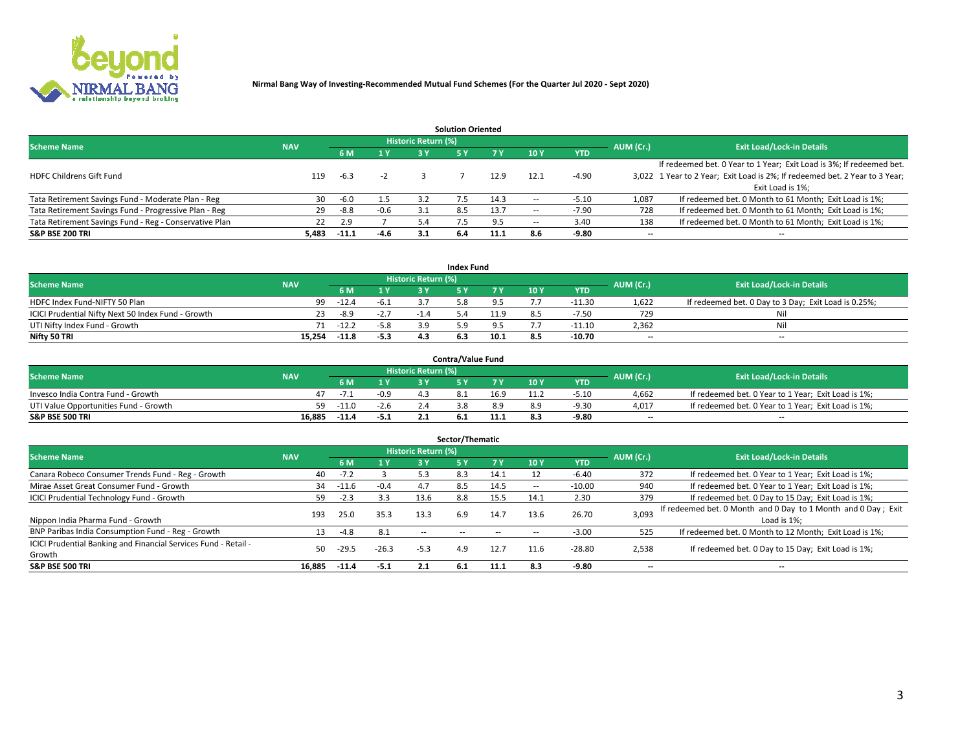

|                                                        |            |            |        |                            | <b>Solution Oriented</b> |      |                          |            |                          |                                                                             |
|--------------------------------------------------------|------------|------------|--------|----------------------------|--------------------------|------|--------------------------|------------|--------------------------|-----------------------------------------------------------------------------|
| <b>Scheme Name</b>                                     | <b>NAV</b> |            |        | <b>Historic Return (%)</b> |                          |      |                          |            | AUM (Cr.)                | <b>Exit Load/Lock-in Details</b>                                            |
|                                                        |            | <b>6 M</b> | 1 Y    | 3 ۷                        |                          |      | 10Y                      | <b>YTD</b> |                          |                                                                             |
|                                                        |            |            |        |                            |                          |      |                          |            |                          | If redeemed bet. 0 Year to 1 Year; Exit Load is 3%; If redeemed bet.        |
| <b>HDFC Childrens Gift Fund</b>                        | 119        | $-6.3$     | -2     |                            |                          | 12.9 | 12.1                     | $-4.90$    |                          | 3,022 1 Year to 2 Year; Exit Load is 2%; If redeemed bet. 2 Year to 3 Year; |
|                                                        |            |            |        |                            |                          |      |                          |            |                          | Exit Load is 1%:                                                            |
| Tata Retirement Savings Fund - Moderate Plan - Reg     | 30         | $-6.0$     | 1.5    | 3.2                        |                          | 14.3 |                          | $-5.10$    | 1,087                    | If redeemed bet. 0 Month to 61 Month; Exit Load is 1%;                      |
| Tata Retirement Savings Fund - Progressive Plan - Reg  | 29         | -8.8       | $-0.6$ |                            | 8.5                      | 13.7 | $\overline{\phantom{a}}$ | $-7.90$    | 728                      | If redeemed bet. 0 Month to 61 Month; Exit Load is 1%;                      |
| Tata Retirement Savings Fund - Reg - Conservative Plan | 22         | 2.9        |        | 5.4                        |                          |      | -                        | 3.40       | 138                      | If redeemed bet. 0 Month to 61 Month; Exit Load is 1%;                      |
| S&P BSE 200 TRI                                        | 5,483      | $-11.1$    | $-4.6$ | 3.1                        | 6.4                      | 11.1 | 8.6                      | $-9.80$    | $\overline{\phantom{a}}$ | $- -$                                                                       |

|                                                    |            |             |              |                            | <b>Index Fund</b> |      |      |            |                          |                                                      |
|----------------------------------------------------|------------|-------------|--------------|----------------------------|-------------------|------|------|------------|--------------------------|------------------------------------------------------|
| <b>Scheme Name</b>                                 | <b>NAV</b> |             |              | <b>Historic Return (%)</b> |                   |      |      |            | AUM (Cr.)                | <b>Exit Load/Lock-in Details</b>                     |
|                                                    |            |             | $\sqrt{1}$ V | 2 V                        |                   | 7 V  | 10 Y | <b>YTD</b> |                          |                                                      |
| HDFC Index Fund-NIFTY 50 Plan                      | 99         | -12.4       | $-6.1$       |                            |                   |      |      | $-11.30$   | 1,622                    | If redeemed bet. 0 Day to 3 Day; Exit Load is 0.25%; |
| ICICI Prudential Nifty Next 50 Index Fund - Growth |            | $-8.9$      | $-2.7$       |                            |                   | 11.9 |      | -7.50      | 729                      | Nil                                                  |
| UTI Nifty Index Fund - Growth                      |            | $71 - 12.2$ | $-5.8$       |                            |                   |      |      | $-11.10$   | 2,362                    | Nil                                                  |
| Nifty 50 TRI                                       | 15.254     | $-11.8$     | $-5.3$       |                            |                   | 10.1 |      | $-10.70$   | $\overline{\phantom{a}}$ | $- -$                                                |

|                                       |            |         |                                   |                            | <b>Contra/Value Fund</b> |      |     |            |                          |                                                     |
|---------------------------------------|------------|---------|-----------------------------------|----------------------------|--------------------------|------|-----|------------|--------------------------|-----------------------------------------------------|
| <b>Scheme Name</b>                    | <b>NAV</b> |         |                                   | <b>Historic Return (%)</b> |                          |      |     |            | AUM (Cr.)                | <b>Exit Load/Lock-in Details</b>                    |
|                                       |            |         | $\boldsymbol{A}$ $\boldsymbol{V}$ |                            |                          | 7 V  | 10Y | <b>YTD</b> |                          |                                                     |
| Invesco India Contra Fund - Growth    |            | $-1$    | $-0.9$                            | 43                         |                          | 16.9 |     | $-5.10$    | 4,662                    | If redeemed bet. 0 Year to 1 Year; Exit Load is 1%; |
| UTI Value Opportunities Fund - Growth | 59         | $-11.0$ | $-2.6$                            |                            |                          |      |     | -9.30      | 4,017                    | If redeemed bet. 0 Year to 1 Year; Exit Load is 1%; |
| <b>S&amp;P BSE 500 TRI</b>            | 16.885     | $-11.4$ | $-5.1$                            |                            |                          |      |     | $-9.80$    | $\overline{\phantom{a}}$ | $- -$                                               |

| Sector/Thematic                                                           |            |         |         |                            |            |           |      |            |           |                                                                              |  |  |  |
|---------------------------------------------------------------------------|------------|---------|---------|----------------------------|------------|-----------|------|------------|-----------|------------------------------------------------------------------------------|--|--|--|
| <b>Scheme Name</b>                                                        | <b>NAV</b> |         |         | <b>Historic Return (%)</b> |            |           |      |            | AUM (Cr.) | <b>Exit Load/Lock-in Details</b>                                             |  |  |  |
|                                                                           |            | 6 M     | 1 Y     | 3 Y                        | 5 Y        | <b>7Y</b> | 10Y  | <b>YTD</b> |           |                                                                              |  |  |  |
| Canara Robeco Consumer Trends Fund - Reg - Growth                         | 40         | $-7.2$  |         | 5.3                        | 8.3        | 14.1      |      | $-6.40$    | 372       | If redeemed bet. 0 Year to 1 Year; Exit Load is 1%;                          |  |  |  |
| Mirae Asset Great Consumer Fund - Growth                                  | 34         | -11.6   | $-0.4$  | 4.7                        | 8.5        | 14.5      | -    | $-10.00$   | 940       | If redeemed bet. 0 Year to 1 Year; Exit Load is 1%;                          |  |  |  |
| <b>ICICI Prudential Technology Fund - Growth</b>                          | 59         | $-2.3$  | 3.3     | 13.6                       | 8.8        | 15.5      | 14.1 | 2.30       | 379       | If redeemed bet. 0 Day to 15 Day; Exit Load is 1%;                           |  |  |  |
| Nippon India Pharma Fund - Growth                                         | 193        | 25.0    | 35.3    | 13.3                       | 6.9        | 14.7      | 13.6 | 26.70      | 3,093     | If redeemed bet. 0 Month and 0 Day to 1 Month and 0 Day; Exit<br>Load is 1%: |  |  |  |
| BNP Paribas India Consumption Fund - Reg - Growth                         | 13         | $-4.8$  | 8.1     | $\sim$ $-$                 | $\sim$ $-$ |           |      | $-3.00$    | 525       | If redeemed bet. 0 Month to 12 Month; Exit Load is 1%;                       |  |  |  |
| ICICI Prudential Banking and Financial Services Fund - Retail -<br>Growth | 50         | $-29.5$ | $-26.3$ | $-5.3$                     | 4.9        | 12.7      | 11.6 | $-28.80$   | 2,538     | If redeemed bet. 0 Day to 15 Day; Exit Load is 1%;                           |  |  |  |
| <b>S&amp;P BSE 500 TRI</b>                                                | 16.885     | $-11.4$ | $-5.1$  | 2.1                        | - 6.1      | 11.1      | 8.3  | $-9.80$    | --        | $- -$                                                                        |  |  |  |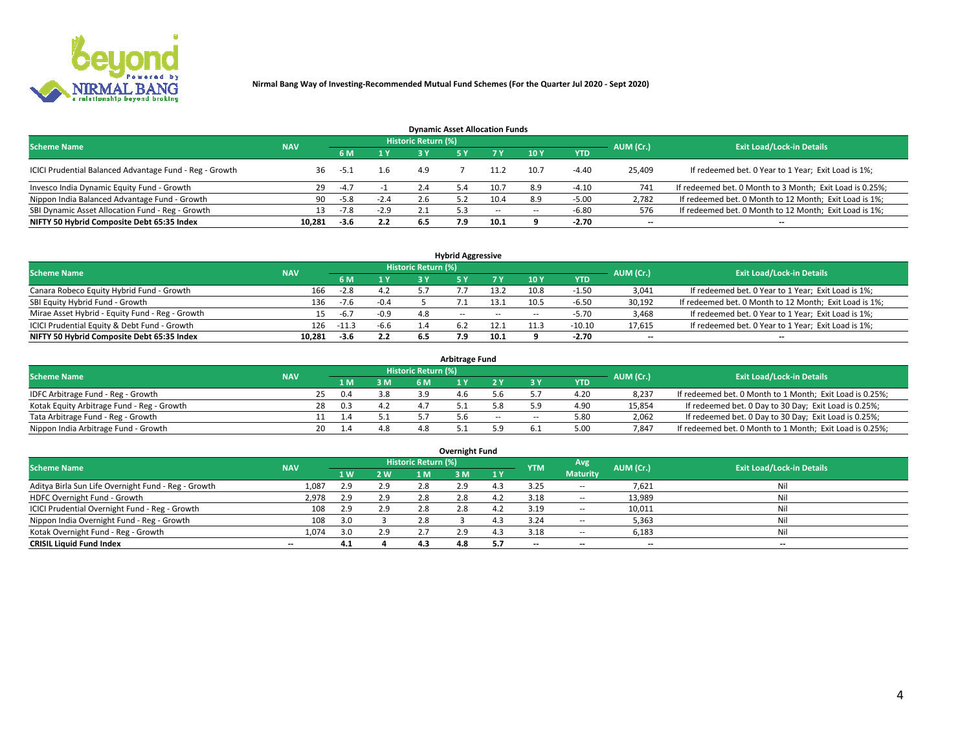

| <b>Dynamic Asset Allocation Funds</b>                   |                                                                |        |        |     |     |        |                          |            |                          |                                                          |  |  |  |  |  |
|---------------------------------------------------------|----------------------------------------------------------------|--------|--------|-----|-----|--------|--------------------------|------------|--------------------------|----------------------------------------------------------|--|--|--|--|--|
|                                                         | <b>Historic Return (%)</b><br><b>Scheme Name</b><br><b>NAV</b> |        |        |     |     |        |                          |            |                          |                                                          |  |  |  |  |  |
|                                                         |                                                                | 6 M    | 1 Y    |     |     |        | 10 <sub>Y</sub>          | <b>YTD</b> | AUM (Cr.)                | <b>Exit Load/Lock-in Details</b>                         |  |  |  |  |  |
| ICICI Prudential Balanced Advantage Fund - Reg - Growth | 36                                                             | -5.1   | 1.6    | 4.9 |     |        | 10.7                     | $-4.40$    | 25,409                   | If redeemed bet. 0 Year to 1 Year; Exit Load is 1%;      |  |  |  |  |  |
| Invesco India Dynamic Equity Fund - Growth              | 29                                                             | $-4.7$ |        | 2.4 | 5.4 |        | 8.9                      | $-4.10$    | 741                      | If redeemed bet. 0 Month to 3 Month; Exit Load is 0.25%; |  |  |  |  |  |
| Nippon India Balanced Advantage Fund - Growth           | 90.                                                            | $-5.8$ | $-2.4$ | 2.6 |     | 10.4   | 8.9                      | $-5.00$    | 2,782                    | If redeemed bet. 0 Month to 12 Month; Exit Load is 1%;   |  |  |  |  |  |
| SBI Dynamic Asset Allocation Fund - Reg - Growth        | 13.                                                            | $-7.8$ | $-2.9$ |     |     | $\sim$ | $\overline{\phantom{a}}$ | $-6.80$    | 576                      | If redeemed bet. 0 Month to 12 Month; Exit Load is 1%;   |  |  |  |  |  |
| NIFTY 50 Hybrid Composite Debt 65:35 Index              | 10,281                                                         | $-3.6$ | 2.2    | 6.5 | 7.9 | 10.1   |                          | $-2.70$    | $\overline{\phantom{a}}$ |                                                          |  |  |  |  |  |

| <b>Hybrid Aggressive</b>                        |            |                                  |        |     |               |        |      |              |                          |                                                        |  |  |  |  |
|-------------------------------------------------|------------|----------------------------------|--------|-----|---------------|--------|------|--------------|--------------------------|--------------------------------------------------------|--|--|--|--|
| <b>Scheme Name</b>                              | AUM (Cr.)  | <b>Exit Load/Lock-in Details</b> |        |     |               |        |      |              |                          |                                                        |  |  |  |  |
|                                                 | <b>NAV</b> | 6 M                              | 1 Y    |     |               | 7 V    | 10Y  | <b>YTD</b>   |                          |                                                        |  |  |  |  |
| Canara Robeco Equity Hybrid Fund - Growth       | 166        | $-2.8$                           | 4.2    |     |               | 12 J   | 10.8 | $\cdot 1.50$ | 3,041                    | If redeemed bet. 0 Year to 1 Year; Exit Load is 1%;    |  |  |  |  |
| SBI Equity Hybrid Fund - Growth                 | 136        | $-7.6$                           | $-0.4$ |     |               |        | 10.5 | $-6.50$      | 30,192                   | If redeemed bet. 0 Month to 12 Month; Exit Load is 1%; |  |  |  |  |
| Mirae Asset Hybrid - Equity Fund - Reg - Growth |            | $-6.7$                           | $-0.9$ | 4.8 | $\sim$ $\sim$ | $\sim$ | --   | -5.70        | 3,468                    | If redeemed bet. 0 Year to 1 Year; Exit Load is 1%;    |  |  |  |  |
| ICICI Prudential Equity & Debt Fund - Growth    | 126        | $-11.3$                          | $-6.6$ |     |               |        |      | $-10.10$     | 17,615                   | If redeemed bet. 0 Year to 1 Year; Exit Load is 1%;    |  |  |  |  |
| NIFTY 50 Hybrid Composite Debt 65:35 Index      | 10.281     | -3.6                             | 2.2    | 6.5 |               | 10.1   |      | $-2.70$      | $\overline{\phantom{a}}$ | $- -$                                                  |  |  |  |  |

| Arbitrage Fund                             |            |    |      |     |                     |     |        |        |            |           |                                                          |  |  |  |
|--------------------------------------------|------------|----|------|-----|---------------------|-----|--------|--------|------------|-----------|----------------------------------------------------------|--|--|--|
| <b>Scheme Name</b>                         | <b>NAV</b> |    |      |     | Historic Return (%) |     |        |        |            | AUM (Cr.) | <b>Exit Load/Lock-in Details</b>                         |  |  |  |
|                                            |            |    | L M. | 3 M | 6 M                 |     |        |        | <b>YTD</b> |           |                                                          |  |  |  |
| IDFC Arbitrage Fund - Reg - Growth         |            | 25 | 0.4  | 3.8 | 3.9                 | 4.b |        |        | 4.20       | 8,237     | If redeemed bet. 0 Month to 1 Month; Exit Load is 0.25%; |  |  |  |
| Kotak Equity Arbitrage Fund - Reg - Growth |            | 28 | 0.3  |     |                     |     |        |        | 4.90       | 15,854    | If redeemed bet. 0 Day to 30 Day; Exit Load is 0.25%;    |  |  |  |
| Tata Arbitrage Fund - Reg - Growth         |            |    |      |     |                     | 5.6 | $\sim$ | $\sim$ | 5.80       | 2,062     | If redeemed bet. 0 Day to 30 Day; Exit Load is 0.25%;    |  |  |  |
| Nippon India Arbitrage Fund - Growth       |            | 20 |      | 4.8 |                     |     |        |        | 5.00       | 7.847     | If redeemed bet. 0 Month to 1 Month; Exit Load is 0.25%; |  |  |  |

| Overnight Fund                                      |            |     |     |                     |     |     |                          |                 |           |                                  |  |  |  |
|-----------------------------------------------------|------------|-----|-----|---------------------|-----|-----|--------------------------|-----------------|-----------|----------------------------------|--|--|--|
| <b>Scheme Name</b>                                  | <b>NAV</b> |     |     | Historic Return (%) |     |     | <b>YTM</b>               | Avg             | AUM (Cr.) | <b>Exit Load/Lock-in Details</b> |  |  |  |
|                                                     |            | 1W  | 2 W | 1 M                 | 3 M | 1Y  |                          | <b>Maturity</b> |           |                                  |  |  |  |
| Aditya Birla Sun Life Overnight Fund - Reg - Growth | 1,087      | 2.9 | 2.9 | 2.8                 | 2.9 |     | 3.25                     | $- -$           | 7,621     | Nil                              |  |  |  |
| HDFC Overnight Fund - Growth                        | 2,978      |     | 2.9 | 2.8                 | 2.8 |     | 3.18                     | $\sim$ $-$      | 13,989    | Nil                              |  |  |  |
| ICICI Prudential Overnight Fund - Reg - Growth      | 108        |     | 2.9 | 2.8                 | 2.8 |     | 3.19                     | $\sim$ $-$      | 10,011    | Nil                              |  |  |  |
| Nippon India Overnight Fund - Reg - Growth          | 108        | 3.0 |     | 2.8                 |     |     | 3.24                     | $\sim$ $-$      | 5,363     | Nil                              |  |  |  |
| Kotak Overnight Fund - Reg - Growth                 | 1,074      |     | 2.9 |                     | 2.9 |     | 3.18                     | --              | 6,183     | Nil                              |  |  |  |
| <b>CRISIL Liquid Fund Index</b>                     | $- -$      | 4.1 |     | 4.3                 | 4.8 | 5.7 | $\overline{\phantom{a}}$ | --              | $- -$     | --                               |  |  |  |

#### **Overnight Fund**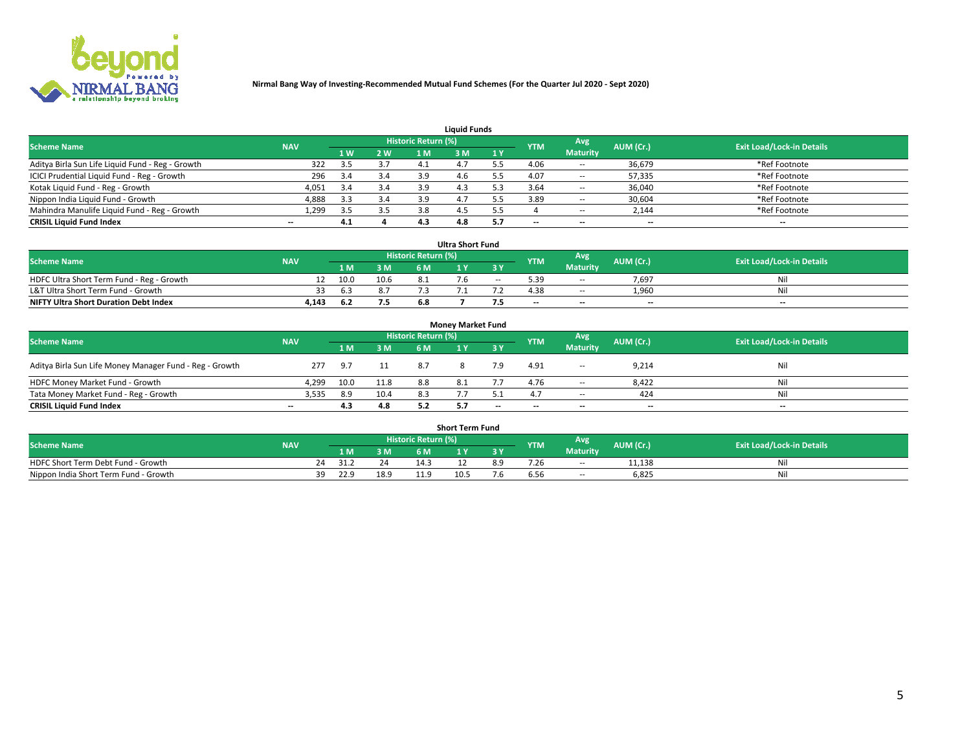

| <b>Liquid Funds</b>                              |            |                |     |                            |      |     |            |                 |           |                                  |  |  |  |  |
|--------------------------------------------------|------------|----------------|-----|----------------------------|------|-----|------------|-----------------|-----------|----------------------------------|--|--|--|--|
| <b>Scheme Name</b>                               | <b>NAV</b> |                |     | <b>Historic Return (%)</b> |      |     | <b>YTM</b> | Avg             | AUM (Cr.) | <b>Exit Load/Lock-in Details</b> |  |  |  |  |
|                                                  |            | 1 <sub>W</sub> | 2 W |                            | : M  | 1Y  |            | <b>Maturity</b> |           |                                  |  |  |  |  |
| Aditya Birla Sun Life Liquid Fund - Reg - Growth | 322        | 3.5            |     |                            |      |     | 4.06       | $\sim$ $-$      | 36,679    | *Ref Footnote                    |  |  |  |  |
| ICICI Prudential Liquid Fund - Reg - Growth      | 296        | 3.4            | 3.4 | 3.9                        |      |     | 4.07       | $\sim$ $-$      | 57,335    | *Ref Footnote                    |  |  |  |  |
| Kotak Liquid Fund - Reg - Growth                 | 4,051      | 3.4            | 3.4 | 3.9                        | 4.3  |     | 3.64       | $\sim$ $-$      | 36,040    | *Ref Footnote                    |  |  |  |  |
| Nippon India Liquid Fund - Growth                | 4,888      |                | 3.4 |                            | 4. . |     | 3.89       | $\sim$ $-$      | 30,604    | *Ref Footnote                    |  |  |  |  |
| Mahindra Manulife Liquid Fund - Reg - Growth     | 1,299      | २ ५            | 3.5 | 3.8                        |      |     |            | $\sim$ $-$      | 2,144     | *Ref Footnote                    |  |  |  |  |
| <b>CRISIL Liquid Fund Index</b>                  | $- -$      | 4.1            |     | 4.3                        | 4.8  | 5.7 | $- -$      | $- -$           | --        | $\hspace{0.05cm} \cdots$         |  |  |  |  |

| <b>Ultra Short Fund</b>                                                                                                              |       |      |      |     |  |       |                          |                 |                          |       |  |  |  |  |
|--------------------------------------------------------------------------------------------------------------------------------------|-------|------|------|-----|--|-------|--------------------------|-----------------|--------------------------|-------|--|--|--|--|
| <b>Historic Return (%)</b><br>Avg<br><b>Scheme Name</b><br>AUM (Cr.)<br><b>Exit Load/Lock-in Details</b><br><b>NAV</b><br><b>YTM</b> |       |      |      |     |  |       |                          |                 |                          |       |  |  |  |  |
|                                                                                                                                      |       | 1 M. | 3 M  |     |  |       |                          | <b>Maturity</b> |                          |       |  |  |  |  |
| HDFC Ultra Short Term Fund - Reg - Growth                                                                                            |       | 10.0 | 10.6 |     |  | $- -$ | 39.د                     | --              | 7,697                    |       |  |  |  |  |
| L&T Ultra Short Term Fund - Growth                                                                                                   |       | 6.3  | 8.7  |     |  |       | 4.38                     | $\sim$ $\sim$   | 1,960                    | Nil   |  |  |  |  |
| <b>NIFTY Ultra Short Duration Debt Index</b>                                                                                         | 4,143 |      | 7.5  | 6.8 |  |       | $\overline{\phantom{a}}$ | $- -$           | $\overline{\phantom{a}}$ | $- -$ |  |  |  |  |

| <b>Money Market Fund</b>                                |            |      |      |                     |      |       |                          |                 |           |                                  |  |  |  |  |
|---------------------------------------------------------|------------|------|------|---------------------|------|-------|--------------------------|-----------------|-----------|----------------------------------|--|--|--|--|
| <b>Scheme Name</b>                                      | <b>NAV</b> |      |      | Historic Return (%) |      |       | <b>YTM</b>               | Avg             | AUM (Cr.) | <b>Exit Load/Lock-in Details</b> |  |  |  |  |
|                                                         |            | 1 M  | 3 M  | 6 M                 |      | 3 Y   |                          | <b>Maturity</b> |           |                                  |  |  |  |  |
| Aditya Birla Sun Life Money Manager Fund - Reg - Growth | 277        | 9.7  |      | -8.7                |      |       | 4.91                     | $\sim$          | 9,214     | Nil                              |  |  |  |  |
| HDFC Money Market Fund - Growth                         | 4,299      | 10.0 | 11.8 | 8.8                 | -8.1 |       | 4.76                     | $\sim$ $-$      | 8,422     | Nil                              |  |  |  |  |
| Tata Money Market Fund - Reg - Growth                   | 3,535      | 8.9  | 10.4 | 8.3                 |      |       |                          | $- -$           | 424       | Nil                              |  |  |  |  |
| <b>CRISIL Liquid Fund Index</b>                         | $- -$      | 4.3  | 4.8  | 57                  |      | $- -$ | $\overline{\phantom{a}}$ | $- -$           | $-$       | $- -$                            |  |  |  |  |

|                                       |            |       |      |                     | <b>Short Term Fund</b> |     |      |                 |           |                                  |
|---------------------------------------|------------|-------|------|---------------------|------------------------|-----|------|-----------------|-----------|----------------------------------|
| <b>Scheme Name</b>                    | <b>NAV</b> |       |      | Historic Return (%) |                        |     | YTM  | Avg             | AUM (Cr.) | <b>Exit Load/Lock-in Details</b> |
|                                       |            | 1 M . | 3 M  | 6 M                 |                        | 2V  |      | <b>Maturity</b> |           |                                  |
| HDFC Short Term Debt Fund - Growth    |            | 31.2  | 24   |                     |                        | 8.9 | 7.Zb | $\sim$ $-$      | 11,138    | M                                |
| Nippon India Short Term Fund - Growth | 39         | 22.9  | 18.9 |                     | 10.5                   |     |      | $\sim$ $-$      | 6,825     | N                                |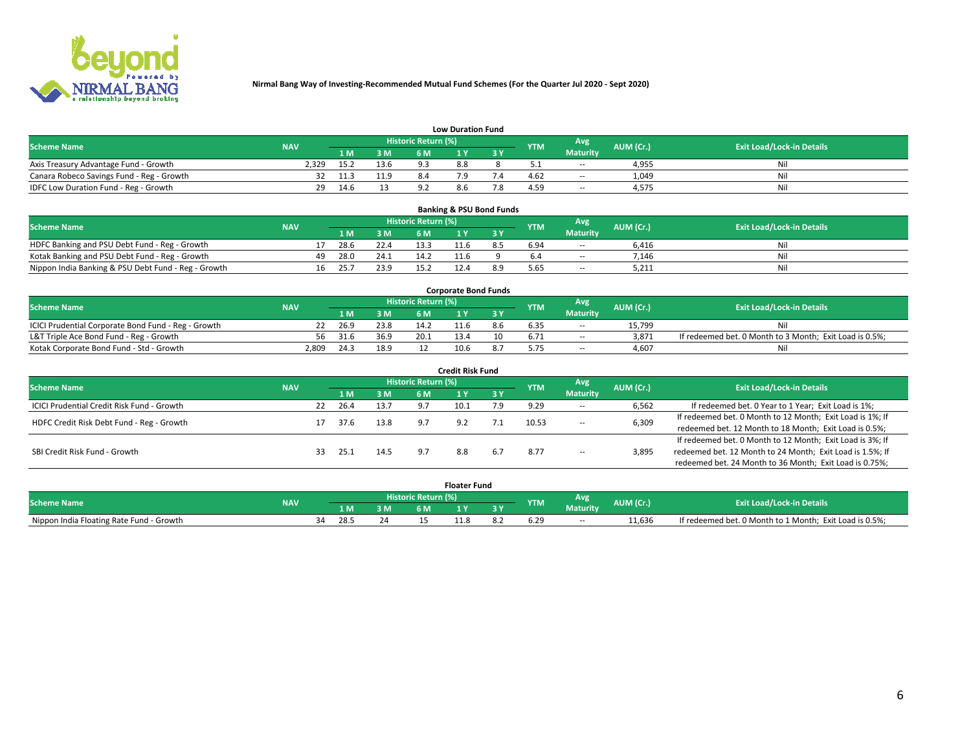

| <b>Low Duration Fund</b>                  |            |      |                 |                     |     |     |            |                 |           |                                  |  |  |  |  |
|-------------------------------------------|------------|------|-----------------|---------------------|-----|-----|------------|-----------------|-----------|----------------------------------|--|--|--|--|
| <b>Scheme Name</b>                        | <b>NAV</b> |      |                 | Historic Return (%) |     |     | <b>YTM</b> | Avg             | AUM (Cr.) | <b>Exit Load/Lock-in Details</b> |  |  |  |  |
|                                           |            | L M. | 3 M             | 6 M                 |     | 3 Y |            | <b>Maturity</b> |           |                                  |  |  |  |  |
| Axis Treasury Advantage Fund - Growth     | 2.329      | 15.2 | 13.6            | Q 3                 | 8.8 |     |            | $\sim$ $-$      | 4,955     | Nil                              |  |  |  |  |
| Canara Robeco Savings Fund - Reg - Growth |            | 11.3 | 11 <sub>0</sub> |                     |     |     | 4.62       | $\sim$ $-$      | 1,049     | Nil                              |  |  |  |  |
| IDFC Low Duration Fund - Reg - Growth     | 29.        | 14.6 |                 |                     | 8.6 |     | 4.59       | <b>COLUM</b>    | 4,575     | Nil                              |  |  |  |  |

| <b>Banking &amp; PSU Bond Funds</b>                 |            |    |      |      |                     |  |     |            |                 |           |                                  |  |  |  |
|-----------------------------------------------------|------------|----|------|------|---------------------|--|-----|------------|-----------------|-----------|----------------------------------|--|--|--|
| <b>Scheme Name</b>                                  | <b>NAV</b> |    |      |      | Historic Return (%) |  |     | <b>YTM</b> | Avg             | AUM (Cr.) | <b>Exit Load/Lock-in Details</b> |  |  |  |
|                                                     |            |    | 1 M. | 3 M  | 6 M                 |  |     |            | <b>Maturity</b> |           |                                  |  |  |  |
| HDFC Banking and PSU Debt Fund - Reg - Growth       |            |    | 28.6 | 22.4 |                     |  | 8.5 | 6.94       | $\sim$ $-$      | 6.416     | Ni                               |  |  |  |
| Kotak Banking and PSU Debt Fund - Reg - Growth      |            | 49 | 28.0 | 24.1 | 14.2                |  |     |            | $\sim$ $-$      | 7.146     | Ni                               |  |  |  |
| Nippon India Banking & PSU Debt Fund - Reg - Growth |            | 16 | 25.7 | 23.9 |                     |  |     | 5.65       | --              | 5.211     | Νi                               |  |  |  |

| <b>Corporate Bond Funds</b>                         |            |      |      |                            |      |     |            |                 |           |                                                         |  |  |  |  |
|-----------------------------------------------------|------------|------|------|----------------------------|------|-----|------------|-----------------|-----------|---------------------------------------------------------|--|--|--|--|
| <b>Scheme Name</b>                                  | <b>NAV</b> |      |      | <b>Historic Return (%)</b> |      |     | <b>YTM</b> | Avg             | AUM (Cr.) | <b>Exit Load/Lock-in Details</b>                        |  |  |  |  |
|                                                     |            | 1 M  | 3 M  | 6 M                        |      | 3 Y |            | <b>Maturity</b> |           |                                                         |  |  |  |  |
| ICICI Prudential Corporate Bond Fund - Reg - Growth |            | 26.9 | 23.8 | 14.2                       |      | 8.h | 6.35       | --              | 15.799    |                                                         |  |  |  |  |
| L&T Triple Ace Bond Fund - Reg - Growth             | 56         | 31.6 | 36.9 | 20.1                       |      |     | 6.71       | $\sim$ $-$      | 3,871     | If redeemed bet. 0 Month to 3 Month; Exit Load is 0.5%; |  |  |  |  |
| Kotak Corporate Bond Fund - Std - Growth            | 2,809      | 24.3 | 18.9 |                            | 10.6 |     |            | $\sim$ $-$      | 4.607     | Nil                                                     |  |  |  |  |

| <b>Credit Risk Fund</b>                    |            |    |      |      |                            |      |       |            |                     |                                                           |                                                           |  |
|--------------------------------------------|------------|----|------|------|----------------------------|------|-------|------------|---------------------|-----------------------------------------------------------|-----------------------------------------------------------|--|
| <b>Scheme Name</b>                         | <b>NAV</b> |    |      |      | <b>Historic Return (%)</b> |      |       | <b>YTM</b> | Avg                 | AUM (Cr.)                                                 | <b>Exit Load/Lock-in Details</b>                          |  |
|                                            |            |    | 1 M  | 3 M  | 6 M                        |      | 73 Y. |            | <b>Maturity</b>     |                                                           |                                                           |  |
| ICICI Prudential Credit Risk Fund - Growth |            | 22 | 26.4 | 13.7 |                            | 10.1 | 7.9   | 9.29       | $\sim$ $-$          | 6,562                                                     | If redeemed bet. 0 Year to 1 Year; Exit Load is 1%;       |  |
| HDFC Credit Risk Debt Fund - Reg - Growth  |            |    | 37.6 | 13.8 |                            | 9.2  |       | 10.53      |                     | 6,309                                                     | If redeemed bet. 0 Month to 12 Month; Exit Load is 1%; If |  |
|                                            |            |    |      |      |                            |      |       |            | $\sim$ $-$          |                                                           | redeemed bet. 12 Month to 18 Month; Exit Load is 0.5%;    |  |
|                                            |            |    |      |      |                            |      |       |            |                     |                                                           | If redeemed bet. 0 Month to 12 Month; Exit Load is 3%; If |  |
| SBI Credit Risk Fund - Growth              |            | 33 | 25.2 | 14.5 |                            | 8.8  | 6.7   | 8.77       | 3,895<br>$\sim$ $-$ | redeemed bet. 12 Month to 24 Month; Exit Load is 1.5%; If |                                                           |  |
|                                            |            |    |      |      |                            |      |       |            |                     |                                                           | redeemed bet. 24 Month to 36 Month; Exit Load is 0.75%;   |  |

| <b>Floater Fund</b>                      |            |  |                     |    |     |      |     |            |                 |           |                                                         |  |
|------------------------------------------|------------|--|---------------------|----|-----|------|-----|------------|-----------------|-----------|---------------------------------------------------------|--|
| <b>Scheme Name</b>                       | <b>NAV</b> |  | Historic Return (%) |    |     |      |     |            | Avg             | AUM (Cr.) | <b>Exit Load/Lock-in Details</b>                        |  |
|                                          |            |  | 1 M                 | ЗM | 6 M | . .  | י כ | <b>YTM</b> | <b>Maturity</b> |           |                                                         |  |
| Nippon India Floating Rate Fund - Growth |            |  | 28.                 | 24 |     | 11.7 |     |            | $\sim$ $-$      | 11.636    | If redeemed bet. 0 Month to 1 Month; Exit Load is 0.5%; |  |